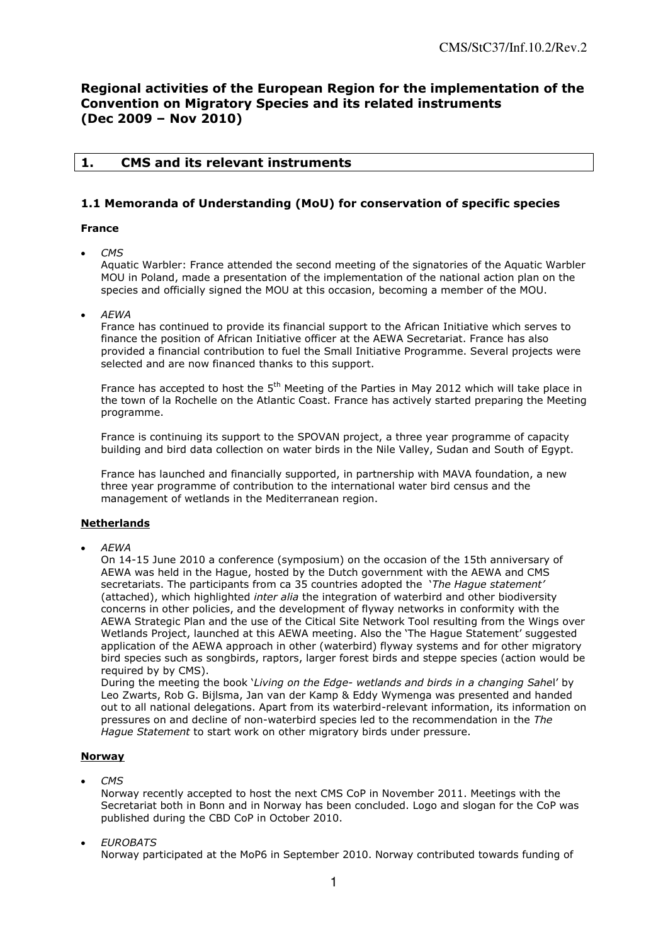# **Regional activities of the European Region for the implementation of the Convention on Migratory Species and its related instruments (Dec 2009 – Nov 2010)**

## **1. CMS and its relevant instruments**

## **1.1 Memoranda of Understanding (MoU) for conservation of specific species**

## **France**

*CMS* 

Aquatic Warbler: France attended the second meeting of the signatories of the Aquatic Warbler MOU in Poland, made a presentation of the implementation of the national action plan on the species and officially signed the MOU at this occasion, becoming a member of the MOU.

*AEWA* 

France has continued to provide its financial support to the African Initiative which serves to finance the position of African Initiative officer at the AEWA Secretariat. France has also provided a financial contribution to fuel the Small Initiative Programme. Several projects were selected and are now financed thanks to this support.

France has accepted to host the 5<sup>th</sup> Meeting of the Parties in May 2012 which will take place in the town of la Rochelle on the Atlantic Coast. France has actively started preparing the Meeting programme.

France is continuing its support to the SPOVAN project, a three year programme of capacity building and bird data collection on water birds in the Nile Valley, Sudan and South of Egypt.

France has launched and financially supported, in partnership with MAVA foundation, a new three year programme of contribution to the international water bird census and the management of wetlands in the Mediterranean region.

#### **Netherlands**

*AEWA* 

On 14-15 June 2010 a conference (symposium) on the occasion of the 15th anniversary of AEWA was held in the Hague, hosted by the Dutch government with the AEWA and CMS secretariats. The participants from ca 35 countries adopted the "*The Hague statement'* (attached), which highlighted *inter alia* the integration of waterbird and other biodiversity concerns in other policies, and the development of flyway networks in conformity with the AEWA Strategic Plan and the use of the Citical Site Network Tool resulting from the Wings over Wetlands Project, launched at this AEWA meeting. Also the "The Hague Statement" suggested application of the AEWA approach in other (waterbird) flyway systems and for other migratory bird species such as songbirds, raptors, larger forest birds and steppe species (action would be required by by CMS).

During the meeting the book "*Living on the Edge- wetlands and birds in a changing Sahe*l" by Leo Zwarts, Rob G. Bijlsma, Jan van der Kamp & Eddy Wymenga was presented and handed out to all national delegations. Apart from its waterbird-relevant information, its information on pressures on and decline of non-waterbird species led to the recommendation in the *The Hague Statement* to start work on other migratory birds under pressure.

## **Norway**

*CMS*

Norway recently accepted to host the next CMS CoP in November 2011. Meetings with the Secretariat both in Bonn and in Norway has been concluded. Logo and slogan for the CoP was published during the CBD CoP in October 2010.

*EUROBATS*

Norway participated at the MoP6 in September 2010. Norway contributed towards funding of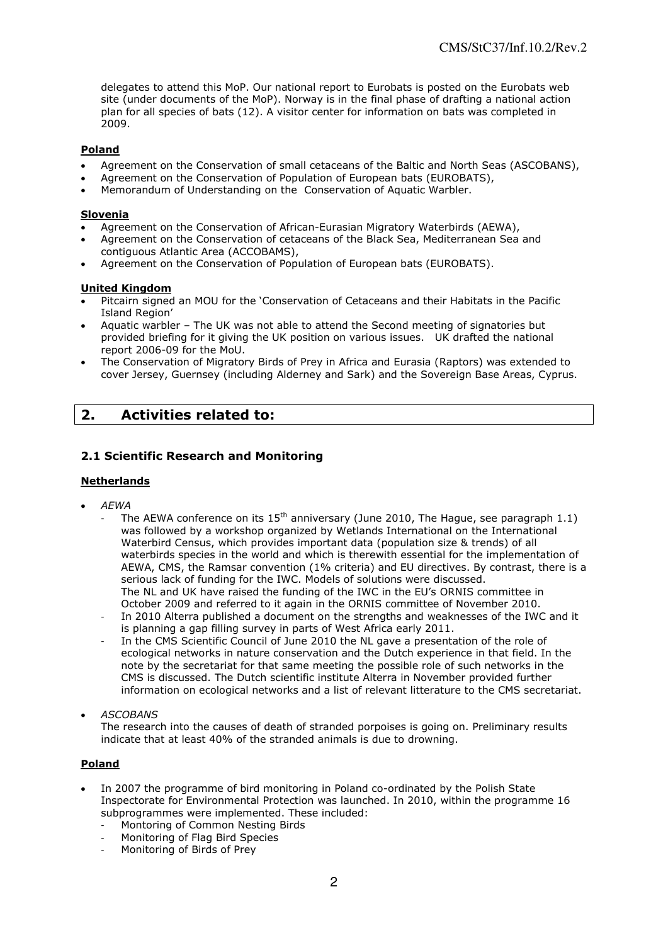delegates to attend this MoP. Our national report to Eurobats is posted on the Eurobats web site (under documents of the MoP). Norway is in the final phase of drafting a national action plan for all species of bats (12). A visitor center for information on bats was completed in 2009.

### **Poland**

- Agreement on the Conservation of small cetaceans of the Baltic and North Seas (ASCOBANS),
- Agreement on the Conservation of Population of European bats (EUROBATS),
- Memorandum of Understanding on the Conservation of Aquatic Warbler.

#### **Slovenia**

- Agreement on the Conservation of African-Eurasian Migratory Waterbirds (AEWA),
- Agreement on the Conservation of cetaceans of the Black Sea, Mediterranean Sea and contiguous Atlantic Area (ACCOBAMS),
- Agreement on the Conservation of Population of European bats (EUROBATS).

### **United Kingdom**

- Pitcairn signed an MOU for the "Conservation of Cetaceans and their Habitats in the Pacific Island Region"
- Aquatic warbler The UK was not able to attend the Second meeting of signatories but provided briefing for it giving the UK position on various issues. UK drafted the national report 2006-09 for the MoU.
- The Conservation of Migratory Birds of Prey in Africa and Eurasia (Raptors) was extended to cover Jersey, Guernsey (including Alderney and Sark) and the Sovereign Base Areas, Cyprus.

# **2. Activities related to:**

## **2.1 Scientific Research and Monitoring**

## **Netherlands**

- *AEWA* 
	- The AEWA conference on its  $15<sup>th</sup>$  anniversary (June 2010, The Hague, see paragraph 1.1) was followed by a workshop organized by Wetlands International on the International Waterbird Census, which provides important data (population size & trends) of all waterbirds species in the world and which is therewith essential for the implementation of AEWA, CMS, the Ramsar convention (1% criteria) and EU directives. By contrast, there is a serious lack of funding for the IWC. Models of solutions were discussed. The NL and UK have raised the funding of the IWC in the EU"s ORNIS committee in October 2009 and referred to it again in the ORNIS committee of November 2010.
	- In 2010 Alterra published a document on the strengths and weaknesses of the IWC and it is planning a gap filling survey in parts of West Africa early 2011.
	- In the CMS Scientific Council of June 2010 the NL gave a presentation of the role of ecological networks in nature conservation and the Dutch experience in that field. In the note by the secretariat for that same meeting the possible role of such networks in the CMS is discussed. The Dutch scientific institute Alterra in November provided further information on ecological networks and a list of relevant litterature to the CMS secretariat.
- *ASCOBANS*
	- The research into the causes of death of stranded porpoises is going on. Preliminary results indicate that at least 40% of the stranded animals is due to drowning.

## **Poland**

- In 2007 the programme of bird monitoring in Poland co-ordinated by the Polish [State](http://www.gios.gov.pl/artykuly/418/Lista-Wojewodzkich-Inspektoratow-Ochrony-Srodowiska)  [Inspectorate for Environmental Protection](http://www.gios.gov.pl/artykuly/418/Lista-Wojewodzkich-Inspektoratow-Ochrony-Srodowiska) was launched. In 2010, within the programme 16 subprogrammes were implemented. These included:
	- Montoring of Common Nesting Birds
	- Monitoring of Flag Bird Species
	- Monitoring of Birds of Prey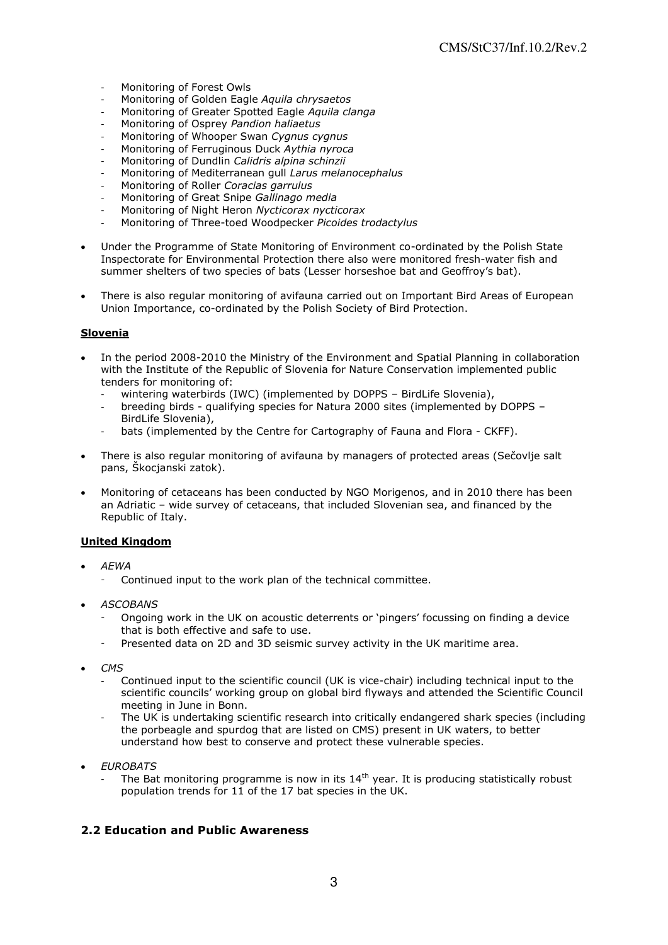- Monitoring of Forest Owls
- Monitoring of Golden Eagle *Aquila chrysaetos*
- Monitoring of Greater Spotted Eagle *Aquila clanga*
- Monitoring of Osprey *Pandion haliaetus*
- Monitoring of Whooper Swan *Cygnus cygnus*
- Monitoring of Ferruginous Duck *Aythia nyroca*
- Monitoring of Dundlin *Calidris alpina schinzii*
- Monitoring of Mediterranean gull *Larus melanocephalus*
- Monitoring of Roller *Coracias garrulus*
- Monitoring of Great Snipe *Gallinago media*
- Monitoring of Night Heron *Nycticorax nycticorax*
- Monitoring of Three-toed Woodpecker *Picoides trodactylus*
- Under the Programme of State Monitoring of Environment co-ordinated by the Polish [State](http://www.gios.gov.pl/artykuly/418/Lista-Wojewodzkich-Inspektoratow-Ochrony-Srodowiska)  [Inspectorate for Environmental Protection](http://www.gios.gov.pl/artykuly/418/Lista-Wojewodzkich-Inspektoratow-Ochrony-Srodowiska) there also were monitored fresh-water fish and summer shelters of two species of bats (Lesser horseshoe bat and Geoffroy's bat).
- There is also regular monitoring of avifauna carried out on Important Bird Areas of European Union Importance, co-ordinated by the Polish Society of Bird Protection.

## **Slovenia**

- In the period 2008-2010 the Ministry of the Environment and Spatial Planning in collaboration with the Institute of the Republic of Slovenia for Nature Conservation implemented public tenders for monitoring of:
	- wintering waterbirds (IWC) (implemented by DOPPS BirdLife Slovenia),
	- breeding birds qualifying species for Natura 2000 sites (implemented by DOPPS BirdLife Slovenia),
	- bats (implemented by the Centre for Cartography of Fauna and Flora CKFF).
- There is also regular monitoring of avifauna by managers of protected areas (Sečovlje salt pans, Škocjanski zatok).
- Monitoring of cetaceans has been conducted by NGO Morigenos, and in 2010 there has been an Adriatic – wide survey of cetaceans, that included Slovenian sea, and financed by the Republic of Italy.

## **United Kingdom**

- *AEWA*
	- Continued input to the work plan of the technical committee.
- *ASCOBANS* 
	- Ongoing work in the UK on acoustic deterrents or 'pingers' focussing on finding a device that is both effective and safe to use.
	- Presented data on 2D and 3D seismic survey activity in the UK maritime area.
- *CMS* 
	- Continued input to the scientific council (UK is vice-chair) including technical input to the scientific councils" working group on global bird flyways and attended the Scientific Council meeting in June in Bonn.
	- The UK is undertaking scientific research into critically endangered shark species (including the porbeagle and spurdog that are listed on CMS) present in UK waters, to better understand how best to conserve and protect these vulnerable species.
- *EUROBATS* 
	- The Bat monitoring programme is now in its  $14<sup>th</sup>$  year. It is producing statistically robust population trends for 11 of the 17 bat species in the UK.

## **2.2 Education and Public Awareness**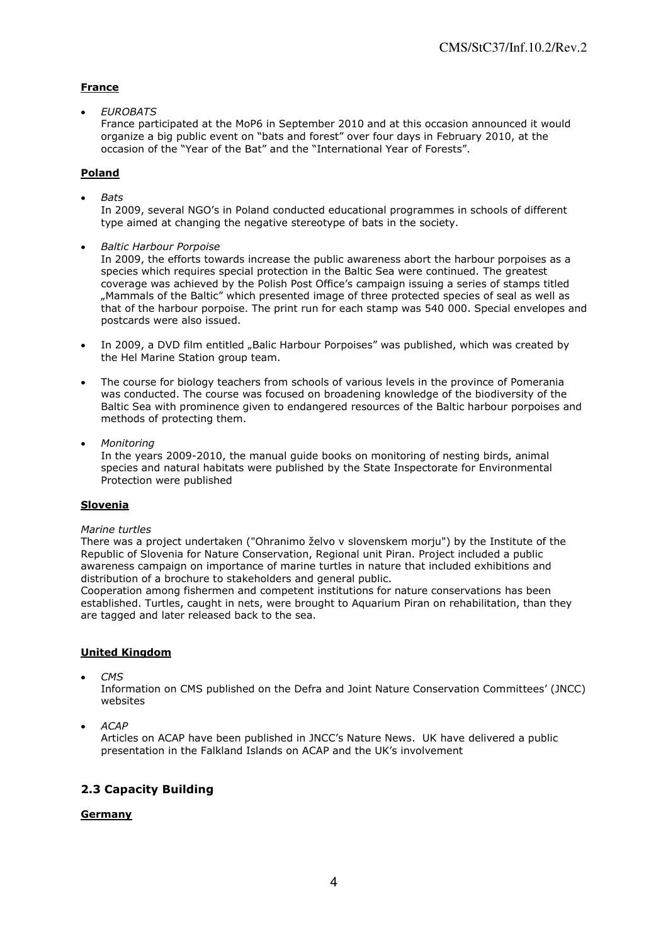## **France**

*EUROBATS* 

France participated at the MoP6 in September 2010 and at this occasion announced it would organize a big public event on "bats and forest" over four days in February 2010, at the occasion of the "Year of the Bat" and the "International Year of Forests".

### **Poland**

*Bats* 

In 2009, several NGO"s in Poland conducted educational programmes in schools of different type aimed at changing the negative stereotype of bats in the society.

*Baltic Harbour Porpoise* 

In 2009, the efforts towards increase the public awareness abort the harbour porpoises as a species which requires special protection in the Baltic Sea were continued. The greatest coverage was achieved by the Polish Post Office"s campaign issuing a series of stamps titled "Mammals of the Baltic" which presented image of three protected species of seal as well as that of the harbour porpoise. The print run for each stamp was 540 000. Special envelopes and postcards were also issued.

- In 2009, a DVD film entitled "Balic Harbour Porpoises" was published, which was created by the Hel Marine Station group team.
- The course for biology teachers from schools of various levels in the province of Pomerania was conducted. The course was focused on broadening knowledge of the biodiversity of the Baltic Sea with prominence given to endangered resources of the Baltic harbour porpoises and methods of protecting them.
- *Monitoring*

In the years 2009-2010, the manual guide books on monitoring of nesting birds, animal species and natural habitats were published by the State Inspectorate for Environmental Protection were published

#### **Slovenia**

#### *Marine turtles*

There was a project undertaken ("Ohranimo želvo v slovenskem morju") by the Institute of the Republic of Slovenia for Nature Conservation, Regional unit Piran. Project included a public awareness campaign on importance of marine turtles in nature that included exhibitions and distribution of a brochure to stakeholders and general public.

Cooperation among fishermen and competent institutions for nature conservations has been established. Turtles, caught in nets, were brought to Aquarium Piran on rehabilitation, than they are tagged and later released back to the sea.

## **United Kingdom**

*CMS* 

Information on CMS published on the Defra and Joint Nature Conservation Committees" (JNCC) websites

*ACAP* 

Articles on ACAP have been published in JNCC"s Nature News. UK have delivered a public presentation in the Falkland Islands on ACAP and the UK"s involvement

## **2.3 Capacity Building**

#### **Germany**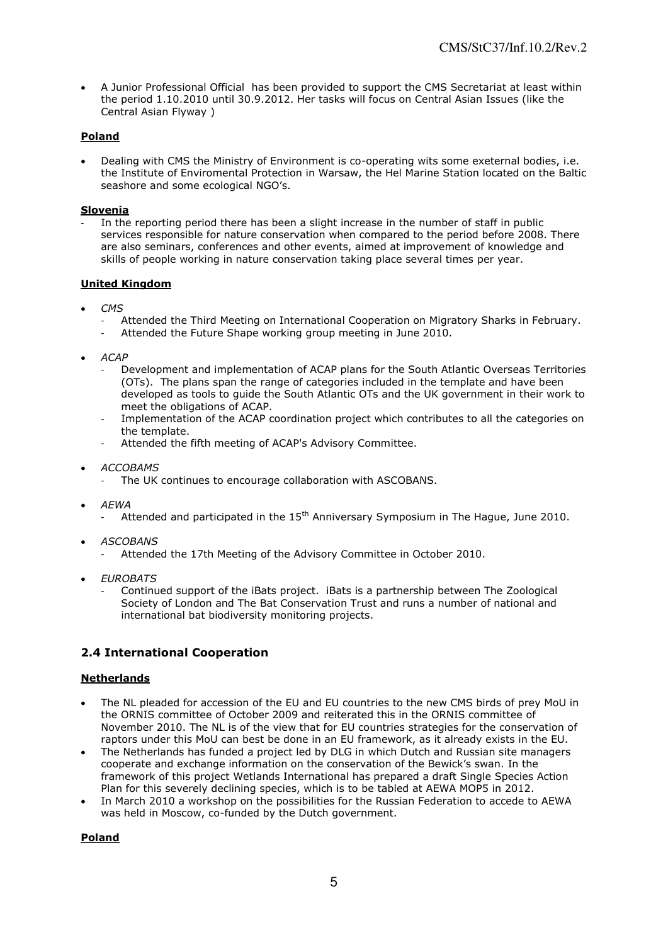A Junior Professional Official has been provided to support the CMS Secretariat at least within the period 1.10.2010 until 30.9.2012. Her tasks will focus on Central Asian Issues (like the Central Asian Flyway )

## **Poland**

 Dealing with CMS the Ministry of Environment is co-operating wits some exeternal bodies, i.e. the Institute of Enviromental Protection in Warsaw, the Hel Marine Station located on the Baltic seashore and some ecological NGO's.

## **Slovenia**

In the reporting period there has been a slight increase in the number of staff in public services responsible for nature conservation when compared to the period before 2008. There are also seminars, conferences and other events, aimed at improvement of knowledge and skills of people working in nature conservation taking place several times per year.

## **United Kingdom**

- *CMS* 
	- Attended the Third Meeting on International Cooperation on Migratory Sharks in February.
	- Attended the Future Shape working group meeting in June 2010.
- *ACAP* 
	- Development and implementation of ACAP plans for the South Atlantic Overseas Territories (OTs). The plans span the range of categories included in the template and have been developed as tools to guide the South Atlantic OTs and the UK government in their work to meet the obligations of ACAP*.*
	- Implementation of the ACAP coordination project which contributes to all the categories on the template.
	- Attended the fifth meeting of ACAP's Advisory Committee.
- *ACCOBAMS* 
	- The UK continues to encourage collaboration with ASCOBANS.
- *AEWA* 
	- Attended and participated in the  $15<sup>th</sup>$  Anniversary Symposium in The Hague, June 2010.
- *ASCOBANS* 
	- Attended the 17th Meeting of the Advisory Committee in October 2010.
- *EUROBATS* 
	- Continued support of the iBats project. iBats is a partnership between The Zoological Society of London and The Bat Conservation Trust and runs a number of national and international bat biodiversity monitoring projects.

# **2.4 International Cooperation**

## **Netherlands**

- The NL pleaded for accession of the EU and EU countries to the new CMS birds of prey MoU in the ORNIS committee of October 2009 and reiterated this in the ORNIS committee of November 2010. The NL is of the view that for EU countries strategies for the conservation of raptors under this MoU can best be done in an EU framework, as it already exists in the EU.
- The Netherlands has funded a project led by DLG in which Dutch and Russian site managers cooperate and exchange information on the conservation of the Bewick"s swan. In the framework of this project Wetlands International has prepared a draft Single Species Action Plan for this severely declining species, which is to be tabled at AEWA MOP5 in 2012.
- In March 2010 a workshop on the possibilities for the Russian Federation to accede to AEWA was held in Moscow, co-funded by the Dutch government.

## **Poland**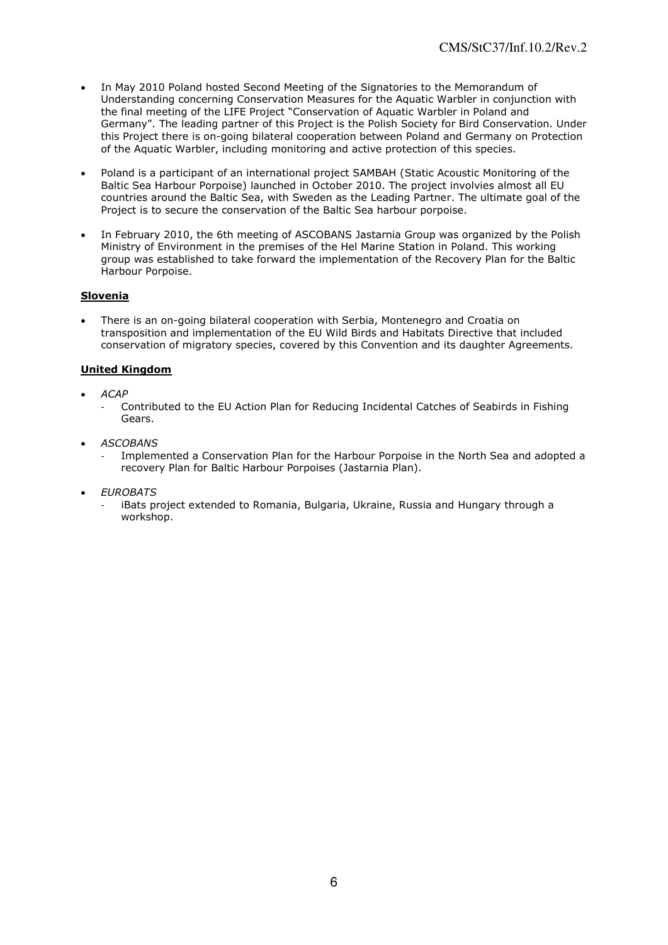- In May 2010 Poland hosted Second Meeting of the Signatories to the Memorandum of Understanding concerning Conservation Measures for the Aquatic Warbler in conjunction with the final meeting of the LIFE Project "Conservation of Aquatic Warbler in Poland and Germany". The leading partner of this Project is the Polish Society for Bird Conservation. Under this Project there is on-going bilateral cooperation between Poland and Germany on Protection of the Aquatic Warbler, including monitoring and active protection of this species.
- Poland is a participant of an international project SAMBAH (Static Acoustic Monitoring of the Baltic Sea Harbour Porpoise) launched in October 2010. The project involvies almost all EU countries around the Baltic Sea, with Sweden as the Leading Partner. The ultimate goal of the Project is to secure the conservation of the Baltic Sea harbour porpoise.
- In February 2010, the 6th meeting of ASCOBANS Jastarnia Group was organized by the Polish Ministry of Environment in the premises of the Hel Marine Station in Poland. This working group was established to take forward the implementation of the Recovery Plan for the Baltic Harbour Porpoise.

## **Slovenia**

 There is an on-going bilateral cooperation with Serbia, Montenegro and Croatia on transposition and implementation of the EU Wild Birds and Habitats Directive that included conservation of migratory species, covered by this Convention and its daughter Agreements.

### **United Kingdom**

- *ACAP* 
	- Contributed to the EU Action Plan for Reducing Incidental Catches of Seabirds in Fishing Gears.
- *ASCOBANS* 
	- Implemented a Conservation Plan for the Harbour Porpoise in the North Sea and adopted a recovery Plan for Baltic Harbour Porpoises (Jastarnia Plan).
- *EUROBATS* 
	- iBats project extended to Romania, Bulgaria, Ukraine, Russia and Hungary through a workshop.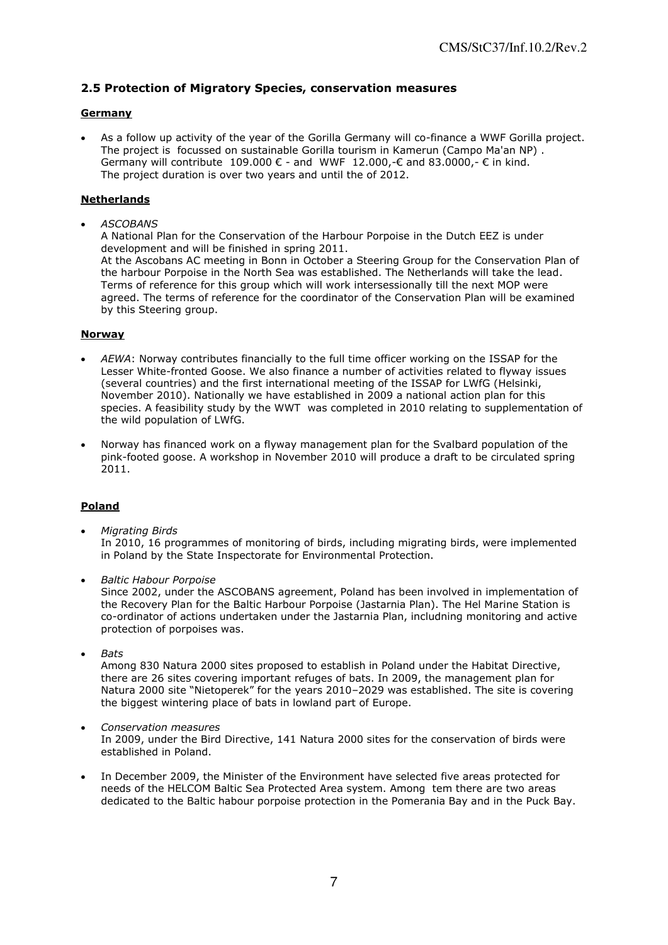## **2.5 Protection of Migratory Species, conservation measures**

## **Germany**

 As a follow up activity of the year of the Gorilla Germany will co-finance a WWF Gorilla project. The project is focussed on sustainable Gorilla tourism in Kamerun (Campo Ma'an NP) . Germany will contribute 109.000  $\epsilon$  - and WWF 12.000,- $\epsilon$  and 83.0000,- $\epsilon$  in kind. The project duration is over two years and until the of 2012.

## **Netherlands**

*ASCOBANS* 

A National Plan for the Conservation of the Harbour Porpoise in the Dutch EEZ is under development and will be finished in spring 2011. At the Ascobans AC meeting in Bonn in October a Steering Group for the Conservation Plan of the harbour Porpoise in the North Sea was established. The Netherlands will take the lead. Terms of reference for this group which will work intersessionally till the next MOP were agreed. The terms of reference for the coordinator of the Conservation Plan will be examined by this Steering group.

#### **Norway**

- *AEWA*: Norway contributes financially to the full time officer working on the ISSAP for the Lesser White-fronted Goose. We also finance a number of activities related to flyway issues (several countries) and the first international meeting of the ISSAP for LWfG (Helsinki, November 2010). Nationally we have established in 2009 a national action plan for this species. A feasibility study by the WWT was completed in 2010 relating to supplementation of the wild population of LWfG.
- Norway has financed work on a flyway management plan for the Svalbard population of the pink-footed goose. A workshop in November 2010 will produce a draft to be circulated spring 2011.

## **Poland**

- *Migrating Birds*  In 2010, 16 programmes of monitoring of birds, including migrating birds, were implemented in Poland by the State Inspectorate for Environmental Protection.
- *Baltic Habour Porpoise*

Since 2002, under the ASCOBANS agreement, Poland has been involved in implementation of the Recovery Plan for the Baltic Harbour Porpoise (Jastarnia Plan). The Hel Marine Station is co-ordinator of actions undertaken under the Jastarnia Plan, includning monitoring and active protection of porpoises was.

*Bats* 

Among 830 Natura 2000 sites proposed to establish in Poland under the Habitat Directive, there are 26 sites covering important refuges of bats. In 2009, the management plan for Natura 2000 site "Nietoperek" for the years 2010–2029 was established. The site is covering the biggest wintering place of bats in lowland part of Europe.

- *Conservation measures*  In 2009, under the Bird Directive, 141 Natura 2000 sites for the conservation of birds were established in Poland.
- In December 2009, the Minister of the Environment have selected five areas protected for needs of the HELCOM Baltic Sea Protected Area system. Among tem there are two areas dedicated to the Baltic habour porpoise protection in the Pomerania Bay and in the Puck Bay.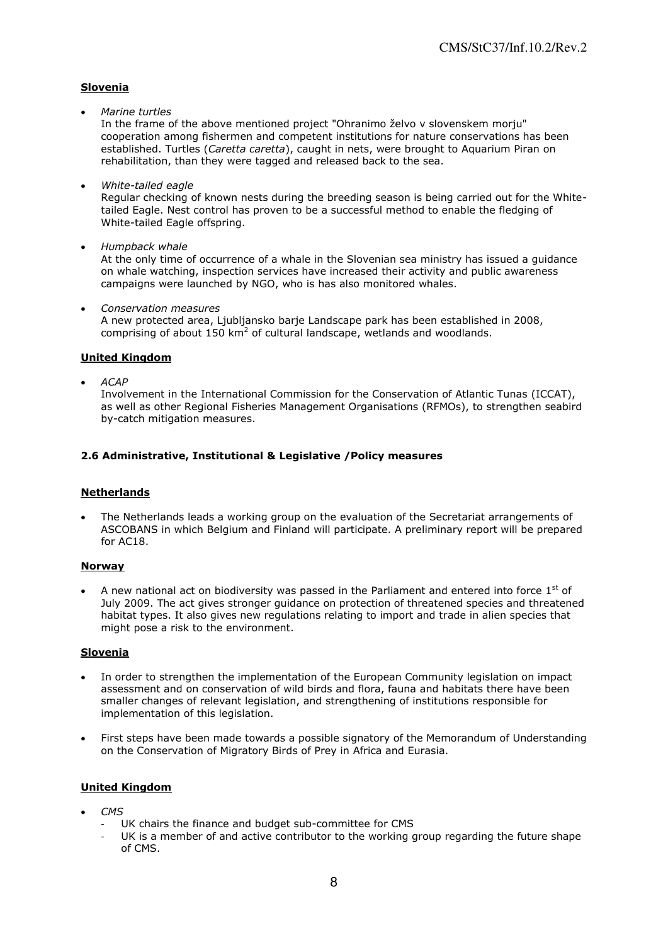## **Slovenia**

*Marine turtles* 

In the frame of the above mentioned project "Ohranimo želvo v slovenskem morju" cooperation among fishermen and competent institutions for nature conservations has been established. Turtles (*Caretta caretta*), caught in nets, were brought to Aquarium Piran on rehabilitation, than they were tagged and released back to the sea.

*White-tailed eagle* 

Regular checking of known nests during the breeding season is being carried out for the Whitetailed Eagle. Nest control has proven to be a successful method to enable the fledging of White-tailed Eagle offspring.

*Humpback whale* 

At the only time of occurrence of a whale in the Slovenian sea ministry has issued a guidance on whale watching, inspection services have increased their activity and public awareness campaigns were launched by NGO, who is has also monitored whales.

*Conservation measures* 

A new protected area, Ljubljansko barje Landscape park has been established in 2008, comprising of about  $150 \text{ km}^2$  of cultural landscape, wetlands and woodlands.

### **United Kingdom**

*ACAP* 

Involvement in the International Commission for the Conservation of Atlantic Tunas (ICCAT), as well as other Regional Fisheries Management Organisations (RFMOs), to strengthen seabird by-catch mitigation measures.

## **2.6 Administrative, Institutional & Legislative /Policy measures**

#### **Netherlands**

 The Netherlands leads a working group on the evaluation of the Secretariat arrangements of ASCOBANS in which Belgium and Finland will participate. A preliminary report will be prepared for AC18.

#### **Norway**

A new national act on biodiversity was passed in the Parliament and entered into force  $1<sup>st</sup>$  of July 2009. The act gives stronger guidance on protection of threatened species and threatened habitat types. It also gives new regulations relating to import and trade in alien species that might pose a risk to the environment.

#### **Slovenia**

- In order to strengthen the implementation of the European Community legislation on impact assessment and on conservation of wild birds and flora, fauna and habitats there have been smaller changes of relevant legislation, and strengthening of institutions responsible for implementation of this legislation.
- First steps have been made towards a possible signatory of the Memorandum of Understanding on the Conservation of Migratory Birds of Prey in Africa and Eurasia.

#### **United Kingdom**

- *CMS* 
	- UK chairs the finance and budget sub-committee for CMS
	- UK is a member of and active contributor to the working group regarding the future shape of CMS.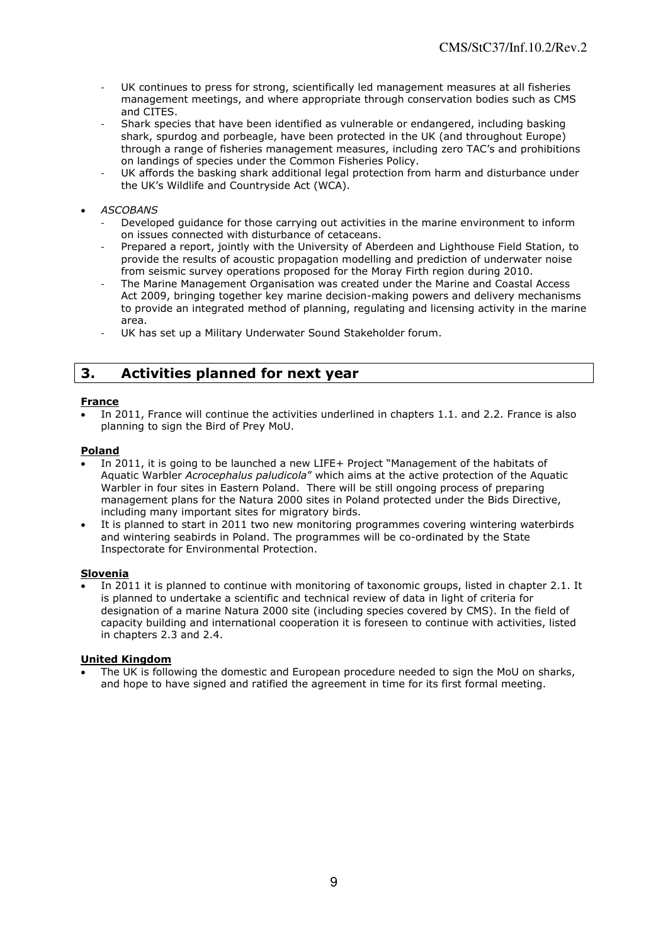- UK continues to press for strong, scientifically led management measures at all fisheries management meetings, and where appropriate through conservation bodies such as CMS and CITES.
- Shark species that have been identified as vulnerable or endangered, including basking shark, spurdog and porbeagle, have been protected in the UK (and throughout Europe) through a range of fisheries management measures, including zero TAC"s and prohibitions on landings of species under the Common Fisheries Policy.
- UK affords the basking shark additional legal protection from harm and disturbance under the UK"s Wildlife and Countryside Act (WCA).

## *ASCOBANS*

- Developed guidance for those carrying out activities in the marine environment to inform on issues connected with disturbance of cetaceans.
- Prepared a report, jointly with the University of Aberdeen and Lighthouse Field Station, to provide the results of acoustic propagation modelling and prediction of underwater noise from seismic survey operations proposed for the Moray Firth region during 2010.
- The Marine Management Organisation was created under the Marine and Coastal Access Act 2009, bringing together key marine decision-making powers and delivery mechanisms to provide an integrated method of planning, regulating and licensing activity in the marine area.
- UK has set up a Military Underwater Sound Stakeholder forum.

# **3. Activities planned for next year**

### **France**

 In 2011, France will continue the activities underlined in chapters 1.1. and 2.2. France is also planning to sign the Bird of Prey MoU.

#### **Poland**

- In 2011, it is going to be launched a new LIFE+ Project "Management of the habitats of Aquatic Warbler *Acrocephalus paludicola*" which aims at the active protection of the Aquatic Warbler in four sites in Eastern Poland. There will be still ongoing process of preparing management plans for the Natura 2000 sites in Poland protected under the Bids Directive, including many important sites for migratory birds.
- It is planned to start in 2011 two new monitoring programmes covering wintering waterbirds and wintering seabirds in Poland. The programmes will be co-ordinated by the [State](http://www.gios.gov.pl/artykuly/418/Lista-Wojewodzkich-Inspektoratow-Ochrony-Srodowiska)  [Inspectorate for Environmental Protection.](http://www.gios.gov.pl/artykuly/418/Lista-Wojewodzkich-Inspektoratow-Ochrony-Srodowiska)

#### **Slovenia**

 In 2011 it is planned to continue with monitoring of taxonomic groups, listed in chapter 2.1. It is planned to undertake a scientific and technical review of data in light of criteria for designation of a marine Natura 2000 site (including species covered by CMS). In the field of capacity building and international cooperation it is foreseen to continue with activities, listed in chapters 2.3 and 2.4.

#### **United Kingdom**

 The UK is following the domestic and European procedure needed to sign the MoU on sharks, and hope to have signed and ratified the agreement in time for its first formal meeting.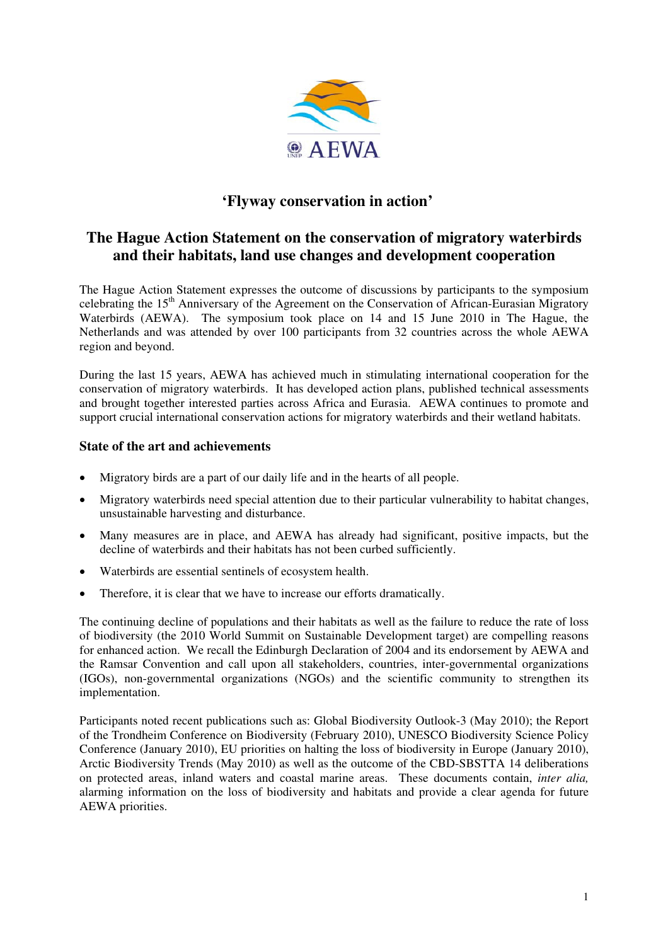

# **'Flyway conservation in action'**

# **The Hague Action Statement on the conservation of migratory waterbirds and their habitats, land use changes and development cooperation**

The Hague Action Statement expresses the outcome of discussions by participants to the symposium celebrating the  $15<sup>th</sup>$  Anniversary of the Agreement on the Conservation of African-Eurasian Migratory Waterbirds (AEWA). The symposium took place on 14 and 15 June 2010 in The Hague, the Netherlands and was attended by over 100 participants from 32 countries across the whole AEWA region and beyond.

During the last 15 years, AEWA has achieved much in stimulating international cooperation for the conservation of migratory waterbirds. It has developed action plans, published technical assessments and brought together interested parties across Africa and Eurasia. AEWA continues to promote and support crucial international conservation actions for migratory waterbirds and their wetland habitats.

## **State of the art and achievements**

- Migratory birds are a part of our daily life and in the hearts of all people.
- Migratory waterbirds need special attention due to their particular vulnerability to habitat changes, unsustainable harvesting and disturbance.
- Many measures are in place, and AEWA has already had significant, positive impacts, but the decline of waterbirds and their habitats has not been curbed sufficiently.
- Waterbirds are essential sentinels of ecosystem health.
- Therefore, it is clear that we have to increase our efforts dramatically.

The continuing decline of populations and their habitats as well as the failure to reduce the rate of loss of biodiversity (the 2010 World Summit on Sustainable Development target) are compelling reasons for enhanced action. We recall the Edinburgh Declaration of 2004 and its endorsement by AEWA and the Ramsar Convention and call upon all stakeholders, countries, inter-governmental organizations (IGOs), non-governmental organizations (NGOs) and the scientific community to strengthen its implementation.

Participants noted recent publications such as: Global Biodiversity Outlook-3 (May 2010); the Report of the Trondheim Conference on Biodiversity (February 2010), UNESCO Biodiversity Science Policy Conference (January 2010), EU priorities on halting the loss of biodiversity in Europe (January 2010), Arctic Biodiversity Trends (May 2010) as well as the outcome of the CBD-SBSTTA 14 deliberations on protected areas, inland waters and coastal marine areas. These documents contain, *inter alia,* alarming information on the loss of biodiversity and habitats and provide a clear agenda for future AEWA priorities.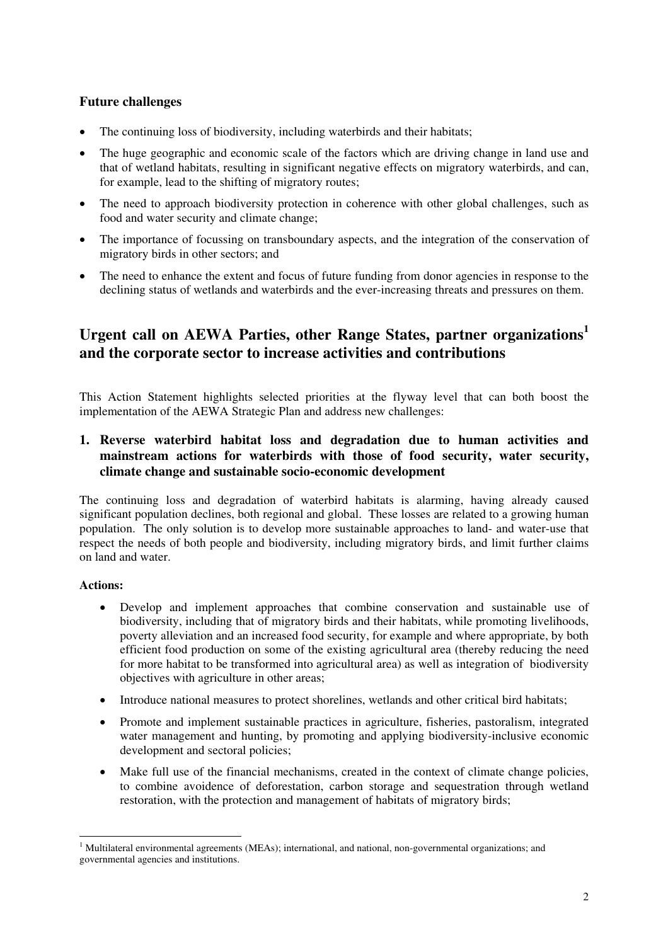## **Future challenges**

- The continuing loss of biodiversity, including waterbirds and their habitats;
- The huge geographic and economic scale of the factors which are driving change in land use and that of wetland habitats, resulting in significant negative effects on migratory waterbirds, and can, for example, lead to the shifting of migratory routes;
- The need to approach biodiversity protection in coherence with other global challenges, such as food and water security and climate change;
- The importance of focussing on transboundary aspects, and the integration of the conservation of migratory birds in other sectors; and
- The need to enhance the extent and focus of future funding from donor agencies in response to the declining status of wetlands and waterbirds and the ever-increasing threats and pressures on them.

# **Urgent call on AEWA Parties, other Range States, partner organizations<sup>1</sup> and the corporate sector to increase activities and contributions**

This Action Statement highlights selected priorities at the flyway level that can both boost the implementation of the AEWA Strategic Plan and address new challenges:

## **1. Reverse waterbird habitat loss and degradation due to human activities and mainstream actions for waterbirds with those of food security, water security, climate change and sustainable socio-economic development**

The continuing loss and degradation of waterbird habitats is alarming, having already caused significant population declines, both regional and global. These losses are related to a growing human population. The only solution is to develop more sustainable approaches to land- and water-use that respect the needs of both people and biodiversity, including migratory birds, and limit further claims on land and water.

## **Actions:**

 $\overline{a}$ 

- Develop and implement approaches that combine conservation and sustainable use of biodiversity, including that of migratory birds and their habitats, while promoting livelihoods, poverty alleviation and an increased food security, for example and where appropriate, by both efficient food production on some of the existing agricultural area (thereby reducing the need for more habitat to be transformed into agricultural area) as well as integration of biodiversity objectives with agriculture in other areas;
- Introduce national measures to protect shorelines, wetlands and other critical bird habitats;
- Promote and implement sustainable practices in agriculture, fisheries, pastoralism, integrated water management and hunting, by promoting and applying biodiversity-inclusive economic development and sectoral policies;
- Make full use of the financial mechanisms, created in the context of climate change policies, to combine avoidence of deforestation, carbon storage and sequestration through wetland restoration, with the protection and management of habitats of migratory birds;

<sup>&</sup>lt;sup>1</sup> Multilateral environmental agreements (MEAs); international, and national, non-governmental organizations; and governmental agencies and institutions.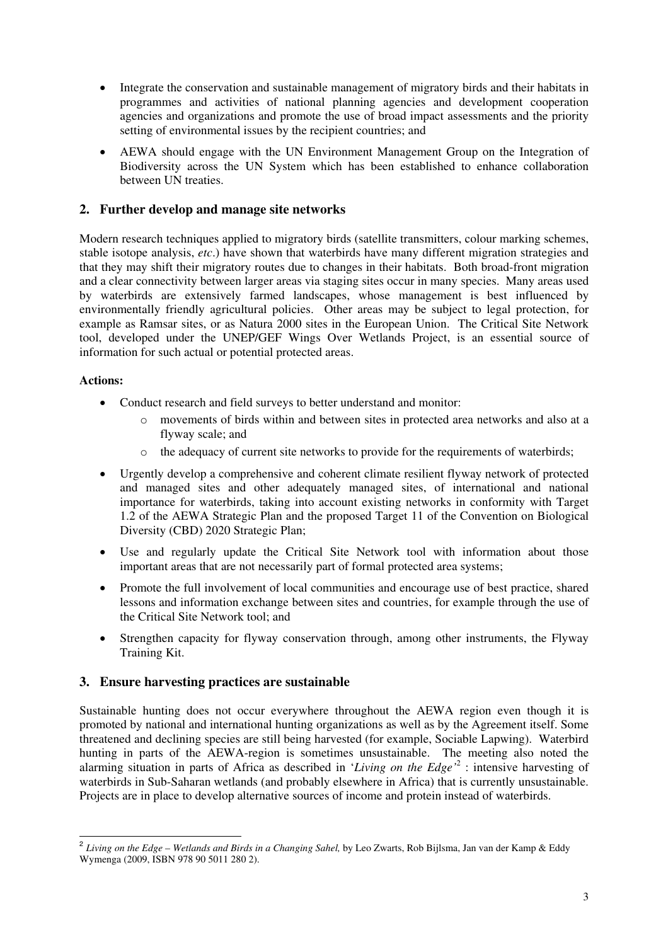- Integrate the conservation and sustainable management of migratory birds and their habitats in programmes and activities of national planning agencies and development cooperation agencies and organizations and promote the use of broad impact assessments and the priority setting of environmental issues by the recipient countries; and
- AEWA should engage with the UN Environment Management Group on the Integration of Biodiversity across the UN System which has been established to enhance collaboration between UN treaties.

# **2. Further develop and manage site networks**

Modern research techniques applied to migratory birds (satellite transmitters, colour marking schemes, stable isotope analysis, *etc*.) have shown that waterbirds have many different migration strategies and that they may shift their migratory routes due to changes in their habitats. Both broad-front migration and a clear connectivity between larger areas via staging sites occur in many species. Many areas used by waterbirds are extensively farmed landscapes, whose management is best influenced by environmentally friendly agricultural policies. Other areas may be subject to legal protection, for example as Ramsar sites, or as Natura 2000 sites in the European Union. The Critical Site Network tool, developed under the UNEP/GEF Wings Over Wetlands Project, is an essential source of information for such actual or potential protected areas.

## **Actions:**

 $\overline{a}$ 

- Conduct research and field surveys to better understand and monitor:
	- o movements of birds within and between sites in protected area networks and also at a flyway scale; and
	- o the adequacy of current site networks to provide for the requirements of waterbirds;
- Urgently develop a comprehensive and coherent climate resilient flyway network of protected and managed sites and other adequately managed sites, of international and national importance for waterbirds, taking into account existing networks in conformity with Target 1.2 of the AEWA Strategic Plan and the proposed Target 11 of the Convention on Biological Diversity (CBD) 2020 Strategic Plan;
- Use and regularly update the Critical Site Network tool with information about those important areas that are not necessarily part of formal protected area systems;
- Promote the full involvement of local communities and encourage use of best practice, shared lessons and information exchange between sites and countries, for example through the use of the Critical Site Network tool; and
- Strengthen capacity for flyway conservation through, among other instruments, the Flyway Training Kit.

## **3. Ensure harvesting practices are sustainable**

Sustainable hunting does not occur everywhere throughout the AEWA region even though it is promoted by national and international hunting organizations as well as by the Agreement itself. Some threatened and declining species are still being harvested (for example, Sociable Lapwing). Waterbird hunting in parts of the AEWA-region is sometimes unsustainable. The meeting also noted the alarming situation in parts of Africa as described in '*Living on the Edge'*<sup>2</sup> : intensive harvesting of waterbirds in Sub-Saharan wetlands (and probably elsewhere in Africa) that is currently unsustainable. Projects are in place to develop alternative sources of income and protein instead of waterbirds.

<sup>&</sup>lt;sup>2</sup> Living on the Edge – Wetlands and Birds in a Changing Sahel, by Leo Zwarts, Rob Bijlsma, Jan van der Kamp & Eddy Wymenga (2009, ISBN 978 90 5011 280 2).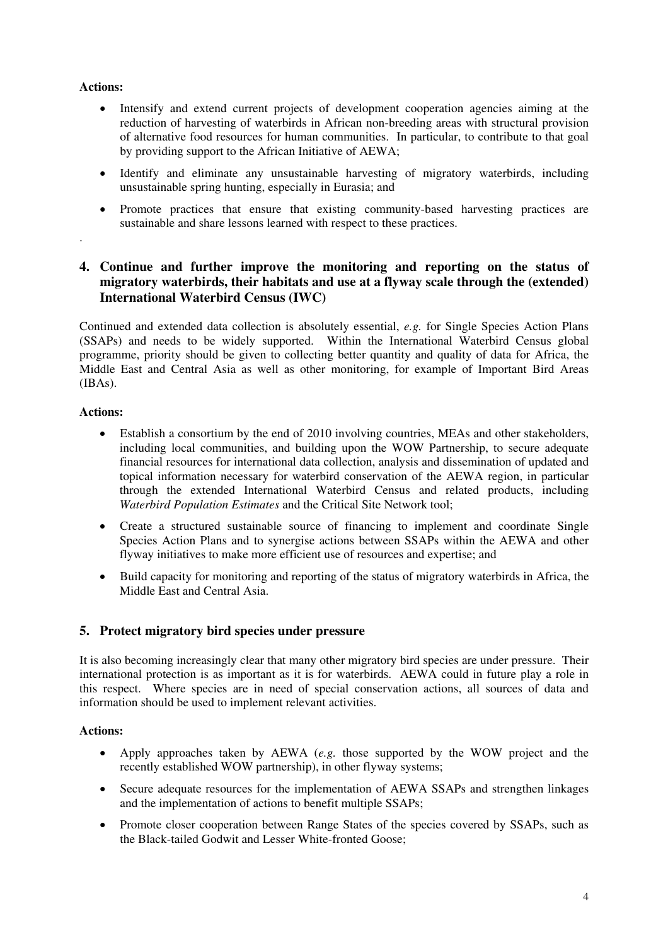## **Actions:**

.

- Intensify and extend current projects of development cooperation agencies aiming at the reduction of harvesting of waterbirds in African non-breeding areas with structural provision of alternative food resources for human communities. In particular, to contribute to that goal by providing support to the African Initiative of AEWA;
- Identify and eliminate any unsustainable harvesting of migratory waterbirds, including unsustainable spring hunting, especially in Eurasia; and
- Promote practices that ensure that existing community-based harvesting practices are sustainable and share lessons learned with respect to these practices.

# **4. Continue and further improve the monitoring and reporting on the status of migratory waterbirds, their habitats and use at a flyway scale through the (extended) International Waterbird Census (IWC)**

Continued and extended data collection is absolutely essential, *e.g.* for Single Species Action Plans (SSAPs) and needs to be widely supported. Within the International Waterbird Census global programme, priority should be given to collecting better quantity and quality of data for Africa, the Middle East and Central Asia as well as other monitoring, for example of Important Bird Areas (IBAs).

## **Actions:**

- Establish a consortium by the end of 2010 involving countries, MEAs and other stakeholders, including local communities, and building upon the WOW Partnership, to secure adequate financial resources for international data collection, analysis and dissemination of updated and topical information necessary for waterbird conservation of the AEWA region, in particular through the extended International Waterbird Census and related products, including *Waterbird Population Estimates* and the Critical Site Network tool;
- Create a structured sustainable source of financing to implement and coordinate Single Species Action Plans and to synergise actions between SSAPs within the AEWA and other flyway initiatives to make more efficient use of resources and expertise; and
- Build capacity for monitoring and reporting of the status of migratory waterbirds in Africa, the Middle East and Central Asia.

## **5. Protect migratory bird species under pressure**

It is also becoming increasingly clear that many other migratory bird species are under pressure. Their international protection is as important as it is for waterbirds. AEWA could in future play a role in this respect. Where species are in need of special conservation actions, all sources of data and information should be used to implement relevant activities.

## **Actions:**

- Apply approaches taken by AEWA (*e.g.* those supported by the WOW project and the recently established WOW partnership), in other flyway systems;
- Secure adequate resources for the implementation of AEWA SSAPs and strengthen linkages and the implementation of actions to benefit multiple SSAPs;
- Promote closer cooperation between Range States of the species covered by SSAPs, such as the Black-tailed Godwit and Lesser White-fronted Goose;